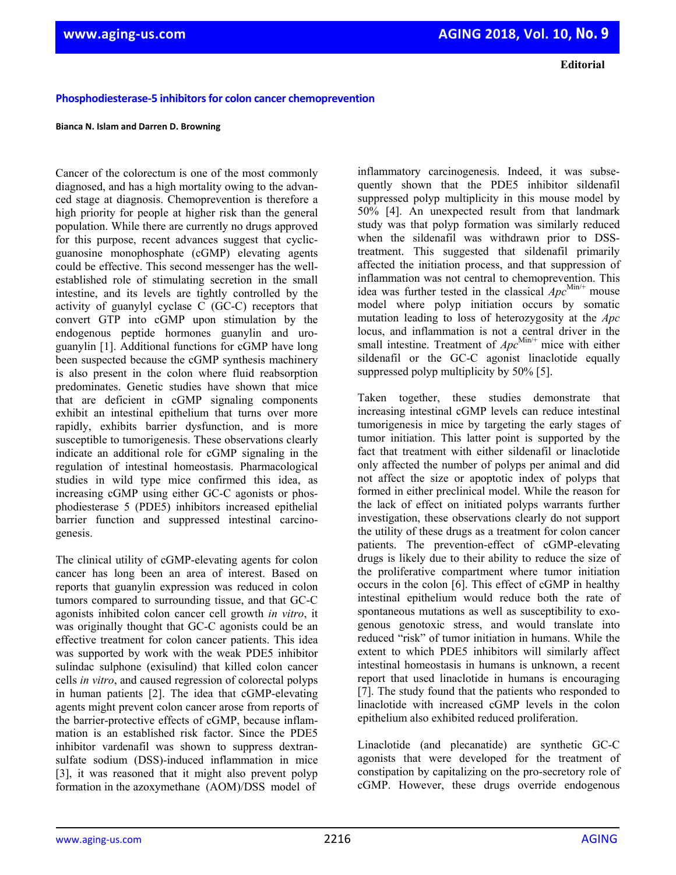**Editorial**

# **Phosphodiesterase-5** inhibitors for colon cancer chemoprevention

### **Bianca N. Islam and Darren D. Browning**

Cancer of the colorectum is one of the most commonly diagnosed, and has a high mortality owing to the advanced stage at diagnosis. Chemoprevention is therefore a high priority for people at higher risk than the general population. While there are currently no drugs approved for this purpose, recent advances suggest that cyclicguanosine monophosphate (cGMP) elevating agents could be effective. This second messenger has the wellestablished role of stimulating secretion in the small intestine, and its levels are tightly controlled by the activity of guanylyl cyclase C (GC-C) receptors that convert GTP into cGMP upon stimulation by the endogenous peptide hormones guanylin and uroguanylin [1]. Additional functions for cGMP have long been suspected because the cGMP synthesis machinery is also present in the colon where fluid reabsorption predominates. Genetic studies have shown that mice that are deficient in cGMP signaling components exhibit an intestinal epithelium that turns over more rapidly, exhibits barrier dysfunction, and is more susceptible to tumorigenesis. These observations clearly indicate an additional role for cGMP signaling in the regulation of intestinal homeostasis. Pharmacological studies in wild type mice confirmed this idea, as increasing cGMP using either GC-C agonists or phosphodiesterase 5 (PDE5) inhibitors increased epithelial barrier function and suppressed intestinal carcinogenesis.

The clinical utility of cGMP-elevating agents for colon cancer has long been an area of interest. Based on reports that guanylin expression was reduced in colon tumors compared to surrounding tissue, and that GC-C agonists inhibited colon cancer cell growth *in vitro*, it was originally thought that GC-C agonists could be an effective treatment for colon cancer patients. This idea was supported by work with the weak PDE5 inhibitor sulindac sulphone (exisulind) that killed colon cancer cells *in vitro*, and caused regression of colorectal polyps in human patients [2]. The idea that cGMP-elevating agents might prevent colon cancer arose from reports of the barrier-protective effects of cGMP, because inflammation is an established risk factor. Since the PDE5 inhibitor vardenafil was shown to suppress dextransulfate sodium (DSS)-induced inflammation in mice [3], it was reasoned that it might also prevent polyp formation in the azoxymethane (AOM)/DSS model of

inflammatory carcinogenesis. Indeed, it was subsequently shown that the PDE5 inhibitor sildenafil suppressed polyp multiplicity in this mouse model by 50% [4]. An unexpected result from that landmark study was that polyp formation was similarly reduced when the sildenafil was withdrawn prior to DSStreatment. This suggested that sildenafil primarily affected the initiation process, and that suppression of inflammation was not central to chemoprevention. This idea was further tested in the classical  $Apc^{\text{Min}/+}$  mouse model where polyp initiation occurs by somatic mutation leading to loss of heterozygosity at the *Apc* locus, and inflammation is not a central driver in the small intestine. Treatment of  $Apc^{\text{Min}/+}$  mice with either sildenafil or the GC-C agonist linaclotide equally suppressed polyp multiplicity by 50% [5].

Taken together, these studies demonstrate that increasing intestinal cGMP levels can reduce intestinal tumorigenesis in mice by targeting the early stages of tumor initiation. This latter point is supported by the fact that treatment with either sildenafil or linaclotide only affected the number of polyps per animal and did not affect the size or apoptotic index of polyps that formed in either preclinical model. While the reason for the lack of effect on initiated polyps warrants further investigation, these observations clearly do not support the utility of these drugs as a treatment for colon cancer patients. The prevention-effect of cGMP-elevating drugs is likely due to their ability to reduce the size of the proliferative compartment where tumor initiation occurs in the colon [6]. This effect of cGMP in healthy intestinal epithelium would reduce both the rate of spontaneous mutations as well as susceptibility to exogenous genotoxic stress, and would translate into reduced "risk" of tumor initiation in humans. While the extent to which PDE5 inhibitors will similarly affect intestinal homeostasis in humans is unknown, a recent report that used linaclotide in humans is encouraging [7]. The study found that the patients who responded to linaclotide with increased cGMP levels in the colon epithelium also exhibited reduced proliferation.

Linaclotide (and plecanatide) are synthetic GC-C agonists that were developed for the treatment of constipation by capitalizing on the pro-secretory role of cGMP. However, these drugs override endogenous